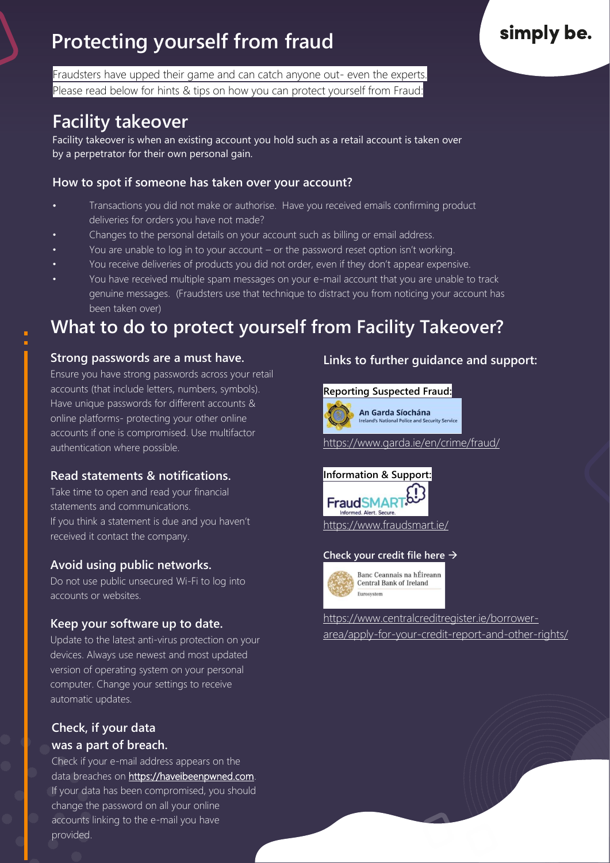# **Protecting yourself from fraud**

Fraudsters have upped their game and can catch anyone out- even the experts. Please read below for hints & tips on how you can protect yourself from Fraud:

## **Facility takeover**

Facility takeover is when an existing account you hold such as a retail account is taken over by a perpetrator for their own personal gain.

#### **How to spot if someone has taken over your account?**

- Transactions you did not make or authorise. Have you received emails confirming product deliveries for orders you have not made?
- Changes to the personal details on your account such as billing or email address.
- You are unable to log in to your account or the password reset option isn't working.
- You receive deliveries of products you did not order, even if they don't appear expensive.
- You have received multiple spam messages on your e-mail account that you are unable to track genuine messages. (Fraudsters use that technique to distract you from noticing your account has been taken over)

## **What to do to protect yourself from Facility Takeover?**

### **Strong passwords are a must have.**

Ensure you have strong passwords across your retail accounts (that include letters, numbers, symbols). Have unique passwords for different accounts & online platforms- protecting your other online accounts if one is compromised. Use multifactor authentication where possible.

### **Read statements & notifications.**

Take time to open and read your financial statements and communications. If you think a statement is due and you haven't received it contact the company.

### **Avoid using public networks.**

Do not use public unsecured Wi-Fi to log into accounts or websites.

## **Keep your software up to date.**

Links in an email. The contract on your<br>Update to the latest anti-virus protection on your opdate to the latest and mids proceeder on you<br>devices. Always use newest and most updated version of operating system on your personal computer. Change your settings to receive automatic updates.

### **Check, if your data was a part of breach.**

Check if your e-mail address appears on the data breaches on [https://haveibeenpwned.com.](https://haveibeenpwned.com/) If your data has been compromised, you should change the password on all your online accounts linking to the e-mail you have provided.

### **Links to further guidance and support:**

#### **Reporting Suspected Fraud:**



National Police and Security Service

<https://www.garda.ie/en/crime/fraud/>



#### **Check your credit file here** →



Banc Ceannais na hÉireann Central Bank of Ireland

[https://www.centralcreditregister.ie/borrower](https://www.centralcreditregister.ie/borrower-area/apply-for-your-credit-report-and-other-rights/)[area/apply-for-your-credit-report-and-other-rights/](https://www.centralcreditregister.ie/borrower-area/apply-for-your-credit-report-and-other-rights/)

# simply be.